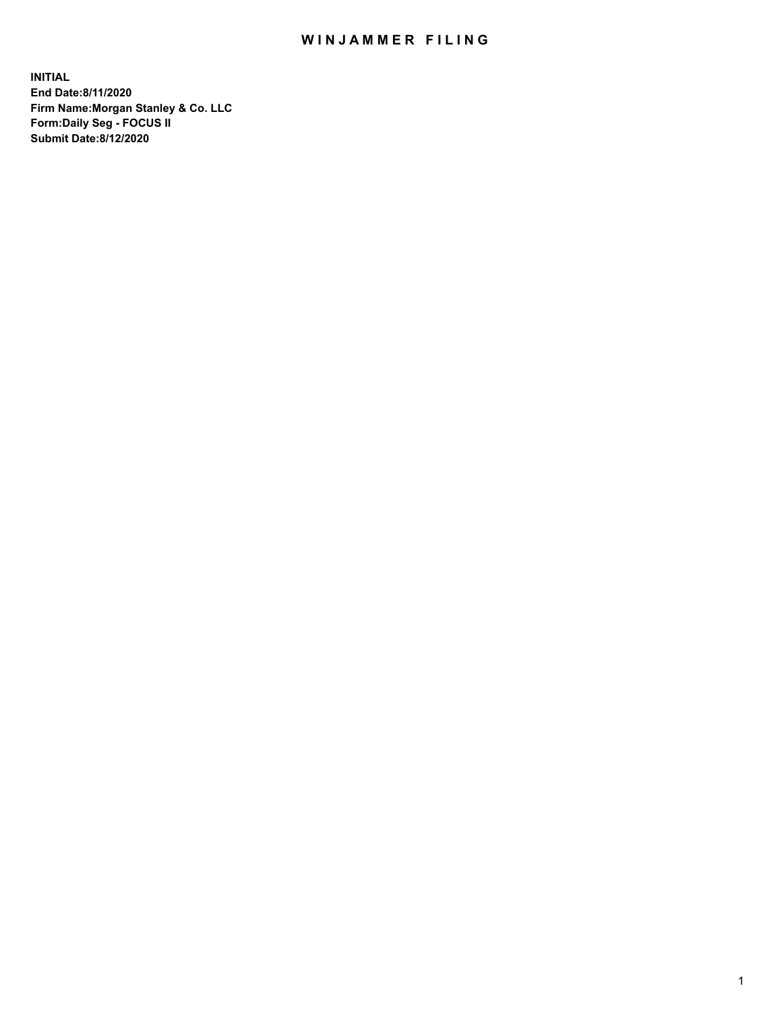## WIN JAMMER FILING

**INITIAL End Date:8/11/2020 Firm Name:Morgan Stanley & Co. LLC Form:Daily Seg - FOCUS II Submit Date:8/12/2020**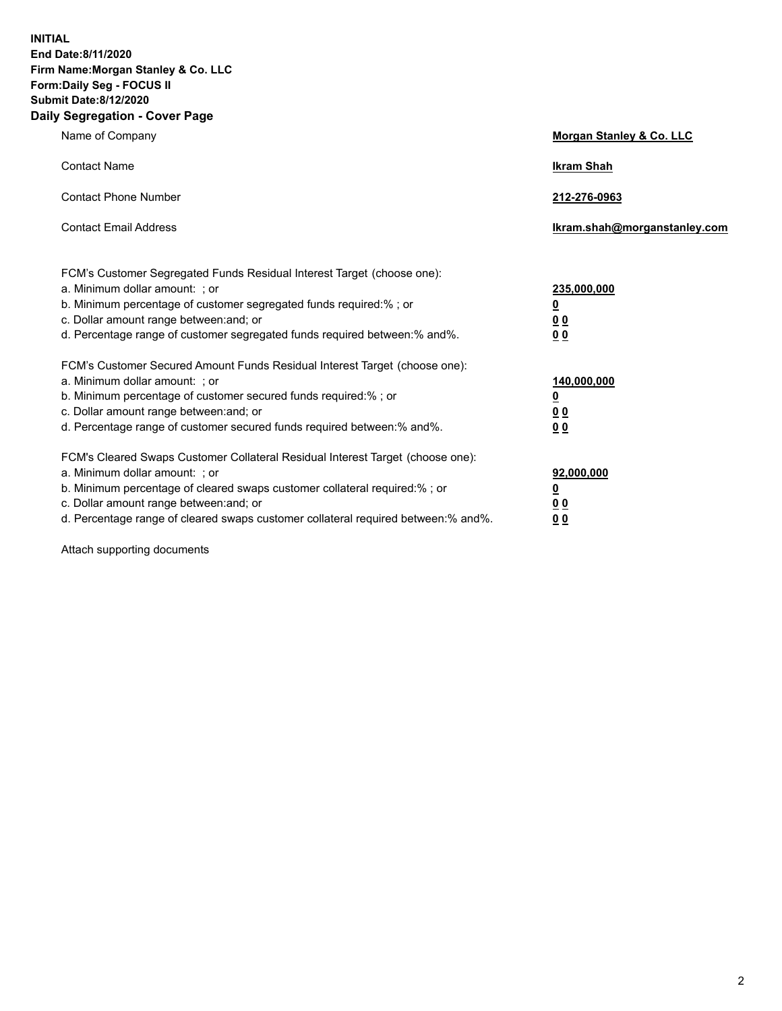**INITIAL End Date:8/11/2020 Firm Name:Morgan Stanley & Co. LLC Form:Daily Seg - FOCUS II Submit Date:8/12/2020 Daily Segregation - Cover Page**

| Name of Company                                                                                                                                                                                                                                                                                                               | Morgan Stanley & Co. LLC                               |
|-------------------------------------------------------------------------------------------------------------------------------------------------------------------------------------------------------------------------------------------------------------------------------------------------------------------------------|--------------------------------------------------------|
| <b>Contact Name</b>                                                                                                                                                                                                                                                                                                           | <b>Ikram Shah</b>                                      |
| <b>Contact Phone Number</b>                                                                                                                                                                                                                                                                                                   | 212-276-0963                                           |
| <b>Contact Email Address</b>                                                                                                                                                                                                                                                                                                  | Ikram.shah@morganstanley.com                           |
| FCM's Customer Segregated Funds Residual Interest Target (choose one):<br>a. Minimum dollar amount: ; or<br>b. Minimum percentage of customer segregated funds required:% ; or<br>c. Dollar amount range between: and; or<br>d. Percentage range of customer segregated funds required between:% and%.                        | 235,000,000<br><u>0</u><br><u>00</u><br>0 <sup>0</sup> |
| FCM's Customer Secured Amount Funds Residual Interest Target (choose one):<br>a. Minimum dollar amount: ; or<br>b. Minimum percentage of customer secured funds required:%; or<br>c. Dollar amount range between: and; or<br>d. Percentage range of customer secured funds required between:% and%.                           | 140,000,000<br><u>0</u><br><u>00</u><br>0 <sub>0</sub> |
| FCM's Cleared Swaps Customer Collateral Residual Interest Target (choose one):<br>a. Minimum dollar amount: ; or<br>b. Minimum percentage of cleared swaps customer collateral required:%; or<br>c. Dollar amount range between: and; or<br>d. Percentage range of cleared swaps customer collateral required between:% and%. | 92,000,000<br><u>0</u><br>0 Q<br>00                    |

Attach supporting documents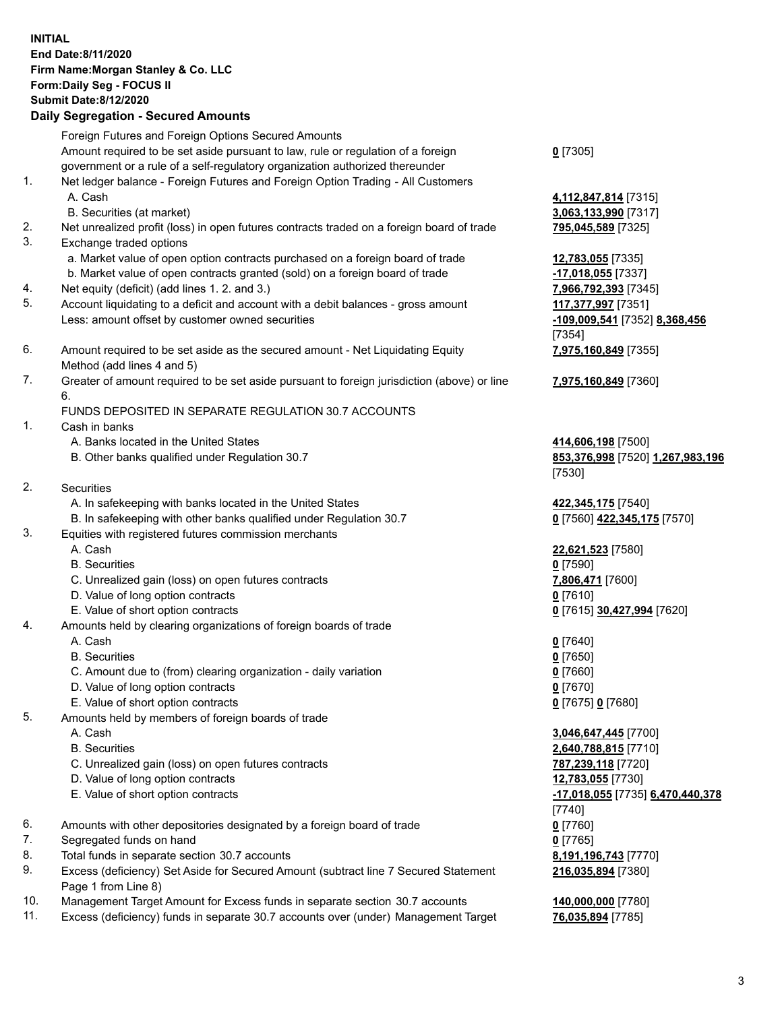## **INITIAL End Date:8/11/2020 Firm Name:Morgan Stanley & Co. LLC Form:Daily Seg - FOCUS II Submit Date:8/12/2020 Daily Segregation - Secured Amounts**

Foreign Futures and Foreign Options Secured Amounts Amount required to be set aside pursuant to law, rule or regulation of a foreign government or a rule of a self-regulatory organization authorized thereunder 1. Net ledger balance - Foreign Futures and Foreign Option Trading - All Customers A. Cash **4,112,847,814** [7315] B. Securities (at market) **3,063,133,990** [7317] 2. Net unrealized profit (loss) in open futures contracts traded on a foreign board of trade **795,045,589** [7325] 3. Exchange traded options a. Market value of open option contracts purchased on a foreign board of trade **12,783,055** [7335] b. Market value of open contracts granted (sold) on a foreign board of trade **-17,018,055** [7337] 4. Net equity (deficit) (add lines 1. 2. and 3.) **7,966,792,393** [7345] 5. Account liquidating to a deficit and account with a debit balances - gross amount **117,377,997** [7351] Less: amount offset by customer owned securities **-109,009,541** [7352] **8,368,456** 6. Amount required to be set aside as the secured amount - Net Liquidating Equity Method (add lines 4 and 5) 7. Greater of amount required to be set aside pursuant to foreign jurisdiction (above) or line 6. FUNDS DEPOSITED IN SEPARATE REGULATION 30.7 ACCOUNTS 1. Cash in banks A. Banks located in the United States **414,606,198** [7500] B. Other banks qualified under Regulation 30.7 **853,376,998** [7520] **1,267,983,196** 2. Securities A. In safekeeping with banks located in the United States **422,345,175** [7540] B. In safekeeping with other banks qualified under Regulation 30.7 **0** [7560] **422,345,175** [7570] 3. Equities with registered futures commission merchants A. Cash **22,621,523** [7580] B. Securities **0** [7590] C. Unrealized gain (loss) on open futures contracts **7,806,471** [7600] D. Value of long option contracts **0** [7610] E. Value of short option contracts **0** [7615] **30,427,994** [7620] 4. Amounts held by clearing organizations of foreign boards of trade

- A. Cash **0** [7640]
- B. Securities **0** [7650]
- C. Amount due to (from) clearing organization daily variation **0** [7660]
- D. Value of long option contracts **0** [7670]
- E. Value of short option contracts **0** [7675] **0** [7680]
- 5. Amounts held by members of foreign boards of trade
	-
	-
	- C. Unrealized gain (loss) on open futures contracts **787,239,118** [7720]
	- D. Value of long option contracts **12,783,055** [7730]
	-
- 6. Amounts with other depositories designated by a foreign board of trade **0** [7760]
- 7. Segregated funds on hand **0** [7765]
- 8. Total funds in separate section 30.7 accounts **8,191,196,743** [7770]
- 9. Excess (deficiency) Set Aside for Secured Amount (subtract line 7 Secured Statement Page 1 from Line 8)
- 10. Management Target Amount for Excess funds in separate section 30.7 accounts **140,000,000** [7780]
- 11. Excess (deficiency) funds in separate 30.7 accounts over (under) Management Target **76,035,894** [7785]

**0** [7305]

[7354] **7,975,160,849** [7355]

**7,975,160,849** [7360]

[7530]

 A. Cash **3,046,647,445** [7700] B. Securities **2,640,788,815** [7710] E. Value of short option contracts **-17,018,055** [7735] **6,470,440,378** [7740] **216,035,894** [7380]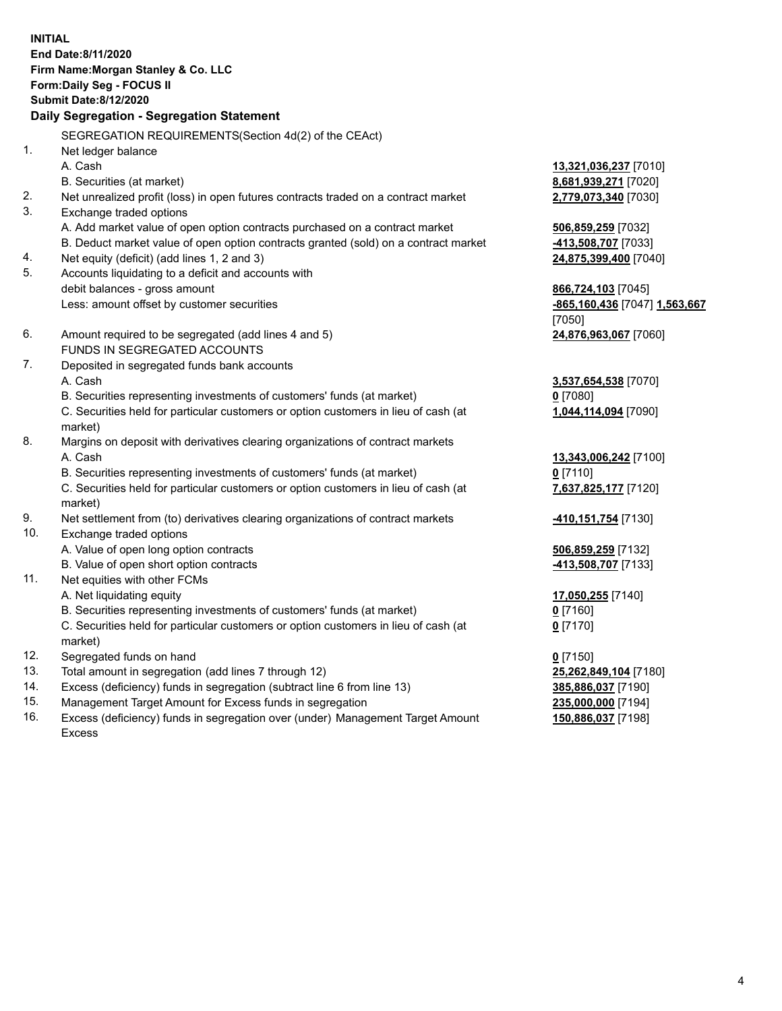**INITIAL End Date:8/11/2020 Firm Name:Morgan Stanley & Co. LLC Form:Daily Seg - FOCUS II Submit Date:8/12/2020 Daily Segregation - Segregation Statement** SEGREGATION REQUIREMENTS(Section 4d(2) of the CEAct) 1. Net ledger balance A. Cash **13,321,036,237** [7010] B. Securities (at market) **8,681,939,271** [7020] 2. Net unrealized profit (loss) in open futures contracts traded on a contract market **2,779,073,340** [7030] 3. Exchange traded options A. Add market value of open option contracts purchased on a contract market **506,859,259** [7032] B. Deduct market value of open option contracts granted (sold) on a contract market **-413,508,707** [7033] 4. Net equity (deficit) (add lines 1, 2 and 3) **24,875,399,400** [7040] 5. Accounts liquidating to a deficit and accounts with debit balances - gross amount **866,724,103** [7045] Less: amount offset by customer securities **-865,160,436** [7047] **1,563,667** [7050] 6. Amount required to be segregated (add lines 4 and 5) **24,876,963,067** [7060] FUNDS IN SEGREGATED ACCOUNTS 7. Deposited in segregated funds bank accounts A. Cash **3,537,654,538** [7070] B. Securities representing investments of customers' funds (at market) **0** [7080] C. Securities held for particular customers or option customers in lieu of cash (at market) **1,044,114,094** [7090] 8. Margins on deposit with derivatives clearing organizations of contract markets A. Cash **13,343,006,242** [7100] B. Securities representing investments of customers' funds (at market) **0** [7110] C. Securities held for particular customers or option customers in lieu of cash (at market) **7,637,825,177** [7120] 9. Net settlement from (to) derivatives clearing organizations of contract markets **-410,151,754** [7130] 10. Exchange traded options A. Value of open long option contracts **506,859,259** [7132] B. Value of open short option contracts **and the set of our original contracts -413,508,707** [7133] 11. Net equities with other FCMs A. Net liquidating equity **17,050,255** [7140] B. Securities representing investments of customers' funds (at market) **0** [7160] C. Securities held for particular customers or option customers in lieu of cash (at market) **0** [7170] 12. Segregated funds on hand **0** [7150] 13. Total amount in segregation (add lines 7 through 12) **25,262,849,104** [7180] 14. Excess (deficiency) funds in segregation (subtract line 6 from line 13) **385,886,037** [7190] 15. Management Target Amount for Excess funds in segregation **235,000,000** [7194]

16. Excess (deficiency) funds in segregation over (under) Management Target Amount Excess

**150,886,037** [7198]